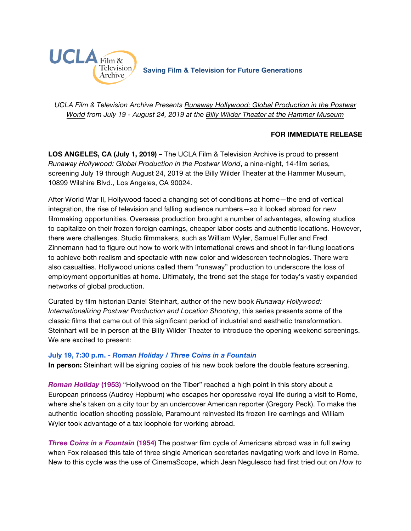

*UCLA Film & Television Archive Presents [Runaway Hollywood: Global Production in the Postwar](https://www.cinema.ucla.edu/events/2019/runaway-hollywood)  [World](https://www.cinema.ucla.edu/events/2019/runaway-hollywood) from July 19 - August 24, 2019 at the [Billy Wilder Theater at the Hammer Museum](https://www.cinema.ucla.edu/billy-wilder-theater)*

## **FOR IMMEDIATE RELEASE**

**LOS ANGELES, CA (July 1, 2019)** – The UCLA Film & Television Archive is proud to present *Runaway Hollywood: Global Production in the Postwar World*, a nine-night, 14-film series, screening July 19 through August 24, 2019 at the Billy Wilder Theater at the Hammer Museum, 10899 Wilshire Blvd., Los Angeles, CA 90024.

After World War II, Hollywood faced a changing set of conditions at home—the end of vertical integration, the rise of television and falling audience numbers—so it looked abroad for new filmmaking opportunities. Overseas production brought a number of advantages, allowing studios to capitalize on their frozen foreign earnings, cheaper labor costs and authentic locations. However, there were challenges. Studio filmmakers, such as William Wyler, Samuel Fuller and Fred Zinnemann had to figure out how to work with international crews and shoot in far-flung locations to achieve both realism and spectacle with new color and widescreen technologies. There were also casualties. Hollywood unions called them "runaway" production to underscore the loss of employment opportunities at home. Ultimately, the trend set the stage for today's vastly expanded networks of global production.

Curated by film historian Daniel Steinhart, author of the new book *Runaway Hollywood: Internationalizing Postwar Production and Location Shooting*, this series presents some of the classic films that came out of this significant period of industrial and aesthetic transformation. Steinhart will be in person at the Billy Wilder Theater to introduce the opening weekend screenings. We are excited to present:

### **July 19, 7:30 p.m. -** *[Roman Holiday / Three Coins in a Fountain](https://www.cinema.ucla.edu/events/2019/07/19/roman-holiday-three-coins-fountain)*

**In person:** Steinhart will be signing copies of his new book before the double feature screening.

*Roman Holiday* **(1953)** "Hollywood on the Tiber" reached a high point in this story about a European princess (Audrey Hepburn) who escapes her oppressive royal life during a visit to Rome, where she's taken on a city tour by an undercover American reporter (Gregory Peck). To make the authentic location shooting possible, Paramount reinvested its frozen lire earnings and William Wyler took advantage of a tax loophole for working abroad.

*Three Coins in a Fountain* **(1954)** The postwar film cycle of Americans abroad was in full swing when Fox released this tale of three single American secretaries navigating work and love in Rome. New to this cycle was the use of CinemaScope, which Jean Negulesco had first tried out on *How to*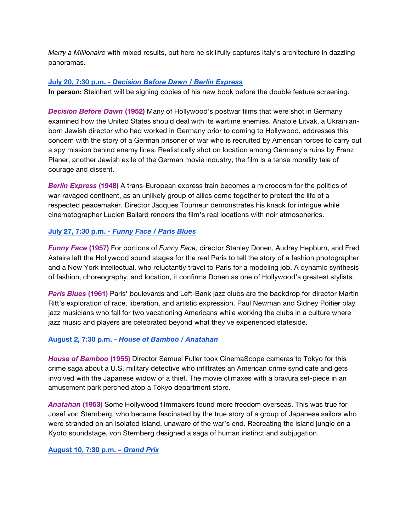*Marry a Millionaire* with mixed results, but here he skillfully captures Italy's architecture in dazzling panoramas.

## **July 20, 7:30 p.m. -** *[Decision Before Dawn / Berlin Express](https://www.cinema.ucla.edu/events/2019/07/20/decision-before-dawn-berlin-express)*

**In person:** Steinhart will be signing copies of his new book before the double feature screening.

*Decision Before Dawn* **(1952)** Many of Hollywood's postwar films that were shot in Germany examined how the United States should deal with its wartime enemies. Anatole Litvak, a Ukrainianborn Jewish director who had worked in Germany prior to coming to Hollywood, addresses this concern with the story of a German prisoner of war who is recruited by American forces to carry out a spy mission behind enemy lines. Realistically shot on location among Germany's ruins by Franz Planer, another Jewish exile of the German movie industry, the film is a tense morality tale of courage and dissent.

*Berlin Express* **(1948)** A trans-European express train becomes a microcosm for the politics of war-ravaged continent, as an unlikely group of allies come together to protect the life of a respected peacemaker. Director Jacques Tourneur demonstrates his knack for intrigue while cinematographer Lucien Ballard renders the film's real locations with noir atmospherics.

# **July 27, 7:30 p.m. -** *[Funny Face / Paris Blues](https://www.cinema.ucla.edu/events/2019/07/27/funny-face-paris-blues)*

*Funny Face* **(1957)** For portions of *Funny Face*, director Stanley Donen, Audrey Hepburn, and Fred Astaire left the Hollywood sound stages for the real Paris to tell the story of a fashion photographer and a New York intellectual, who reluctantly travel to Paris for a modeling job. A dynamic synthesis of fashion, choreography, and location, it confirms Donen as one of Hollywood's greatest stylists.

*Paris Blues* **(1961)** Paris' boulevards and Left-Bank jazz clubs are the backdrop for director Martin Ritt's exploration of race, liberation, and artistic expression. Paul Newman and Sidney Poitier play jazz musicians who fall for two vacationing Americans while working the clubs in a culture where jazz music and players are celebrated beyond what they've experienced stateside.

# **August 2, 7:30 p.m. -** *[House of Bamboo / Anatahan](https://www.cinema.ucla.edu/events/2019/08/02/house-bamboo-anatahan)*

*House of Bamboo* **(1955)** Director Samuel Fuller took CinemaScope cameras to Tokyo for this crime saga about a U.S. military detective who infiltrates an American crime syndicate and gets involved with the Japanese widow of a thief. The movie climaxes with a bravura set-piece in an amusement park perched atop a Tokyo department store.

*Anatahan* **(1953)** Some Hollywood filmmakers found more freedom overseas. This was true for Josef von Sternberg, who became fascinated by the true story of a group of Japanese sailors who were stranded on an isolated island, unaware of the war's end. Recreating the island jungle on a Kyoto soundstage, von Sternberg designed a saga of human instinct and subjugation.

# **[August 10, 7:30 p.m. –](https://www.cinema.ucla.edu/events/2019/08/10/grand-prix)** *Grand Prix*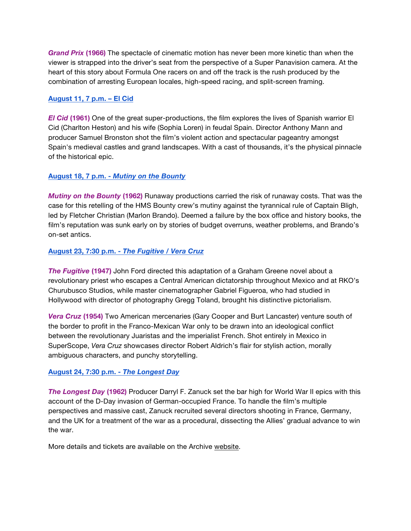*Grand Prix* **(1966)** The spectacle of cinematic motion has never been more kinetic than when the viewer is strapped into the driver's seat from the perspective of a Super Panavision camera. At the heart of this story about Formula One racers on and off the track is the rush produced by the combination of arresting European locales, high-speed racing, and split-screen framing.

### **[August 11, 7](https://www.cinema.ucla.edu/events/2019/08/11/el-cid) p.m. – El Cid**

*El Cid* **(1961)** One of the great super-productions, the film explores the lives of Spanish warrior El Cid (Charlton Heston) and his wife (Sophia Loren) in feudal Spain. Director Anthony Mann and producer Samuel Bronston shot the film's violent action and spectacular pageantry amongst Spain's medieval castles and grand landscapes. With a cast of thousands, it's the physical pinnacle of the historical epic.

## **August 18, 7 p.m. -** *[Mutiny on the Bounty](https://www.cinema.ucla.edu/events/2019/08/18/mutiny-onthe-bounty)*

*Mutiny on the Bounty* **(1962)** Runaway productions carried the risk of runaway costs. That was the case for this retelling of the HMS Bounty crew's mutiny against the tyrannical rule of Captain Bligh, led by Fletcher Christian (Marlon Brando). Deemed a failure by the box office and history books, the film's reputation was sunk early on by stories of budget overruns, weather problems, and Brando's on-set antics.

## **August 23, 7:30 p.m. -** *[The Fugitive / Vera Cruz](https://www.cinema.ucla.edu/events/2019/08/23/fugitive-border-incident)*

*The Fugitive* **(1947)** John Ford directed this adaptation of a Graham Greene novel about a revolutionary priest who escapes a Central American dictatorship throughout Mexico and at RKO's Churubusco Studios, while master cinematographer Gabriel Figueroa, who had studied in Hollywood with director of photography Gregg Toland, brought his distinctive pictorialism.

*Vera Cruz* **(1954)** Two American mercenaries (Gary Cooper and Burt Lancaster) venture south of the border to profit in the Franco-Mexican War only to be drawn into an ideological conflict between the revolutionary Juaristas and the imperialist French. Shot entirely in Mexico in SuperScope, *Vera Cruz* showcases director Robert Aldrich's flair for stylish action, morally ambiguous characters, and punchy storytelling.

### **[August 24, 7:30 p.m. -](https://www.cinema.ucla.edu/events/2019/08/24/longest-day)** *The Longest Day*

*The Longest Day* **(1962)** Producer Darryl F. Zanuck set the bar high for World War II epics with this account of the D-Day invasion of German-occupied France. To handle the film's multiple perspectives and massive cast, Zanuck recruited several directors shooting in France, Germany, and the UK for a treatment of the war as a procedural, dissecting the Allies' gradual advance to win the war.

More details and tickets are available on the Archive [website.](https://www.cinema.ucla.edu/events/2019/runaway-hollywood)